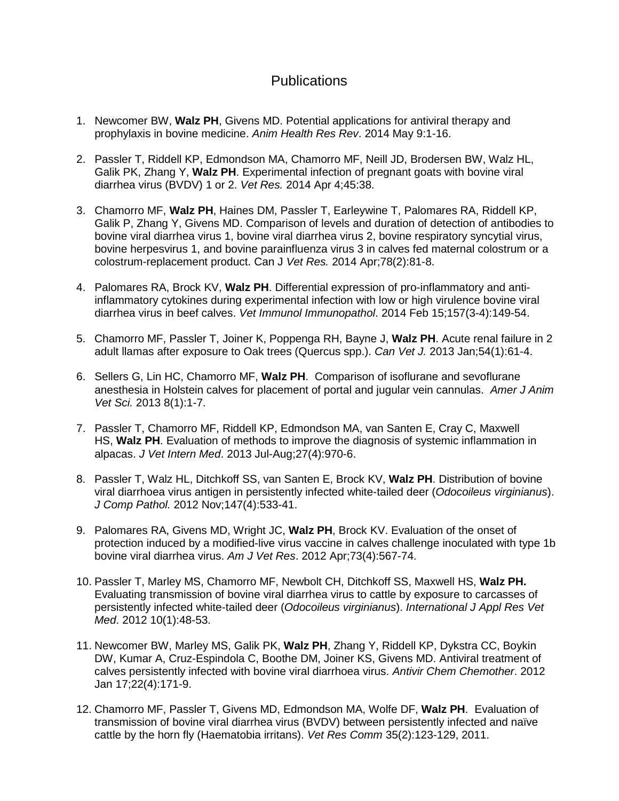## **Publications**

- 1. Newcomer BW, **Walz PH**, Givens MD. [Potential applications for antiviral therapy and](http://www.ncbi.nlm.nih.gov/pubmed/24810855)  [prophylaxis in bovine medicine.](http://www.ncbi.nlm.nih.gov/pubmed/24810855) *Anim Health Res Rev*. 2014 May 9:1-16.
- 2. Passler T, Riddell KP, Edmondson MA, Chamorro MF, Neill JD, Brodersen BW, Walz HL, Galik PK, Zhang Y, **Walz PH**. [Experimental infection of pregnant goats with bovine viral](http://www.ncbi.nlm.nih.gov/pubmed/24708266)  [diarrhea virus \(BVDV\) 1 or 2.](http://www.ncbi.nlm.nih.gov/pubmed/24708266) *Vet Res.* 2014 Apr 4;45:38.
- 3. Chamorro MF, **Walz PH**, Haines DM, Passler T, Earleywine T, Palomares RA, Riddell KP, Galik P, Zhang Y, Givens MD. [Comparison of levels and duration of detection of antibodies to](http://www.ncbi.nlm.nih.gov/pubmed/24688168)  [bovine viral diarrhea virus 1, bovine viral diarrhea virus 2, bovine respiratory syncytial virus,](http://www.ncbi.nlm.nih.gov/pubmed/24688168)  [bovine herpesvirus 1, and bovine parainfluenza virus 3 in calves fed maternal colostrum or a](http://www.ncbi.nlm.nih.gov/pubmed/24688168)  [colostrum-replacement product.](http://www.ncbi.nlm.nih.gov/pubmed/24688168) Can J *Vet Res.* 2014 Apr;78(2):81-8.
- 4. Palomares RA, Brock KV, **Walz PH**. [Differential expression of pro-inflammatory and anti](http://www.ncbi.nlm.nih.gov/pubmed/24461321)inflammatory cytokines during experimental [infection with low or high virulence bovine viral](http://www.ncbi.nlm.nih.gov/pubmed/24461321)  [diarrhea virus in beef calves.](http://www.ncbi.nlm.nih.gov/pubmed/24461321) *Vet Immunol Immunopathol*. 2014 Feb 15;157(3-4):149-54.
- 5. Chamorro MF, Passler T, Joiner K, Poppenga RH, Bayne J, **Walz PH**. [Acute renal failure in 2](http://www.ncbi.nlm.nih.gov/pubmed/23814303)  [adult llamas after exposure to Oak trees \(Quercus spp.\).](http://www.ncbi.nlm.nih.gov/pubmed/23814303) *Can Vet J.* 2013 Jan;54(1):61-4.
- 6. Sellers G, Lin HC, Chamorro MF, **Walz PH**. Comparison of isoflurane and sevoflurane anesthesia in Holstein calves for placement of portal and jugular vein cannulas. *Amer J Anim Vet Sci.* 2013 8(1):1-7.
- 7. Passler T, Chamorro MF, Riddell KP, Edmondson MA, van Santen E, Cray C, Maxwell HS, **Walz PH**. [Evaluation of methods to improve the diagnosis of systemic inflammation in](http://www.ncbi.nlm.nih.gov/pubmed/23662652)  [alpacas.](http://www.ncbi.nlm.nih.gov/pubmed/23662652) *J Vet Intern Med*. 2013 Jul-Aug;27(4):970-6.
- 8. [Passler T,](http://www.ncbi.nlm.nih.gov/pubmed?term=Passler%20T%5BAuthor%5D&cauthor=true&cauthor_uid=22520818) [Walz HL,](http://www.ncbi.nlm.nih.gov/pubmed?term=Walz%20HL%5BAuthor%5D&cauthor=true&cauthor_uid=22520818) [Ditchkoff SS,](http://www.ncbi.nlm.nih.gov/pubmed?term=Ditchkoff%20SS%5BAuthor%5D&cauthor=true&cauthor_uid=22520818) [van Santen E,](http://www.ncbi.nlm.nih.gov/pubmed?term=van%20Santen%20E%5BAuthor%5D&cauthor=true&cauthor_uid=22520818) [Brock KV,](http://www.ncbi.nlm.nih.gov/pubmed?term=Brock%20KV%5BAuthor%5D&cauthor=true&cauthor_uid=22520818) **[Walz PH](http://www.ncbi.nlm.nih.gov/pubmed?term=Walz%20PH%5BAuthor%5D&cauthor=true&cauthor_uid=22520818)**. Distribution of bovine viral diarrhoea virus antigen in persistently infected white-tailed deer (*Odocoileus virginianus*). *[J Comp Pathol.](http://www.ncbi.nlm.nih.gov/pubmed/22520818)* 2012 Nov;147(4):533-41.
- 9. Palomares RA, Givens MD, Wright JC, **Walz PH**, Brock KV. Evaluation of the onset of protection induced by a modified-live virus vaccine in calves challenge inoculated with type 1b bovine viral diarrhea virus. *[Am J Vet Res](http://www.ncbi.nlm.nih.gov/pubmed/22452506)*. 2012 Apr;73(4):567-74.
- 10. Passler T, Marley MS, Chamorro MF, Newbolt CH, Ditchkoff SS, Maxwell HS, **Walz PH.** Evaluating transmission of bovine viral diarrhea virus to cattle by exposure to carcasses of persistently infected white-tailed deer (*Odocoileus virginianus*). *International J Appl Res Vet Med*. 2012 10(1):48-53.
- 11. Newcomer BW, Marley MS, Galik PK, **Walz PH**, Zhang Y, Riddell KP, Dykstra CC, Boykin DW, Kumar A, Cruz-Espindola C, Boothe DM, Joiner KS, Givens MD. [Antiviral treatment of](http://www.ncbi.nlm.nih.gov/pubmed/22182713)  [calves persistently infected with bovine viral diarrhoea virus.](http://www.ncbi.nlm.nih.gov/pubmed/22182713) *Antivir Chem Chemother*. 2012 Jan 17;22(4):171-9.
- 12. Chamorro MF, Passler T, Givens MD, Edmondson MA, Wolfe DF, **Walz PH**. Evaluation of transmission of bovine viral diarrhea virus (BVDV) between persistently infected and naïve cattle by the horn fly (Haematobia irritans). *Vet Res Comm* 35(2):123-129, 2011.